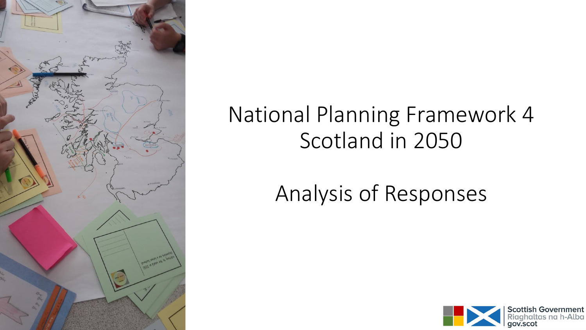

### National Planning Framework 4 Scotland in 2050

## Analysis of Responses

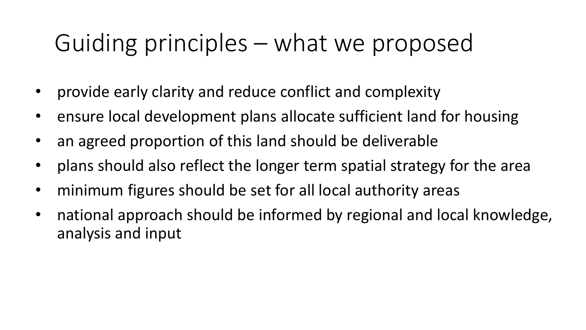## Guiding principles – what we proposed

- provide early clarity and reduce conflict and complexity
- ensure local development plans allocate sufficient land for housing
- an agreed proportion of this land should be deliverable
- plans should also reflect the longer term spatial strategy for the area
- minimum figures should be set for all local authority areas
- national approach should be informed by regional and local knowledge, analysis and input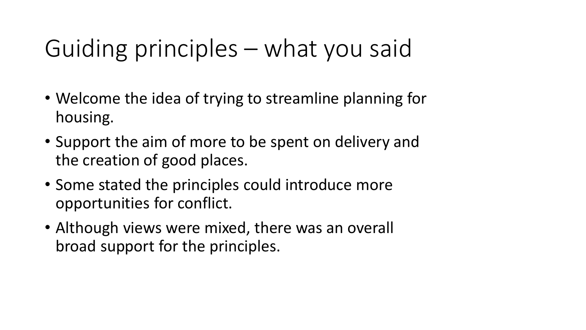## Guiding principles – what you said

- Welcome the idea of trying to streamline planning for housing.
- Support the aim of more to be spent on delivery and the creation of good places.
- Some stated the principles could introduce more opportunities for conflict.
- Although views were mixed, there was an overall broad support for the principles.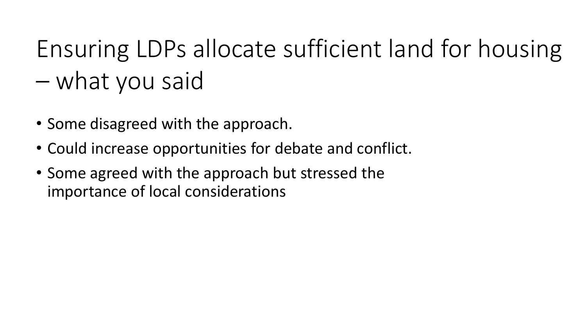# Ensuring LDPs allocate sufficient land for housing – what you said

- Some disagreed with the approach.
- Could increase opportunities for debate and conflict.
- Some agreed with the approach but stressed the importance of local considerations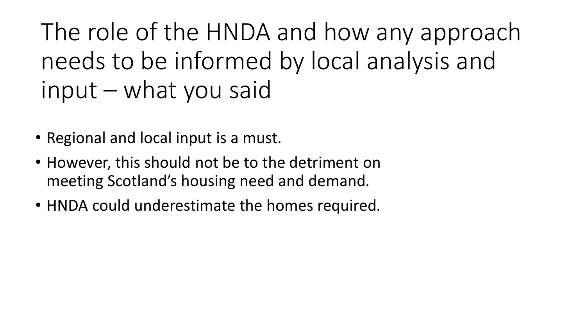The role of the HNDA and how any approach needs to be informed by local analysis and input – what you said

- Regional and local input is a must.
- However, this should not be to the detriment on meeting Scotland's housing need and demand.
- HNDA could underestimate the homes required.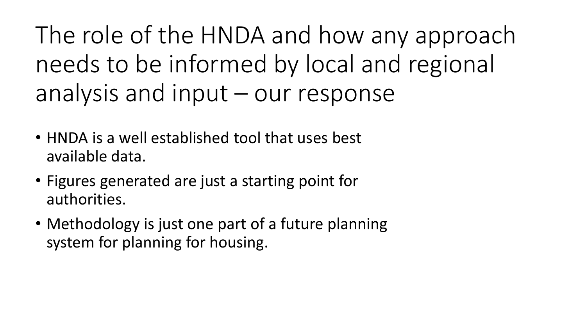The role of the HNDA and how any approach needs to be informed by local and regional analysis and input – our response

- HNDA is a well established tool that uses best available data.
- Figures generated are just a starting point for authorities.
- Methodology is just one part of a future planning system for planning for housing.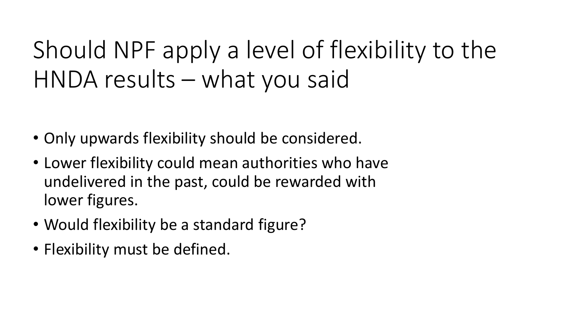Should NPF apply a level of flexibility to the HNDA results – what you said

- Only upwards flexibility should be considered.
- Lower flexibility could mean authorities who have undelivered in the past, could be rewarded with lower figures.
- Would flexibility be a standard figure?
- Flexibility must be defined.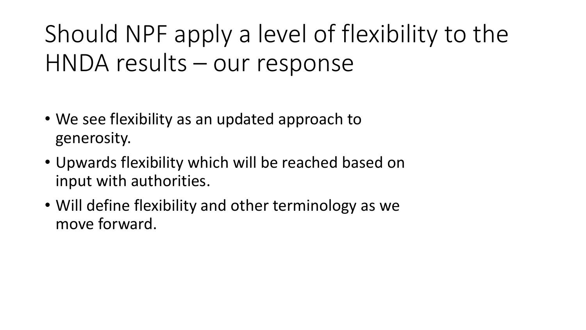# Should NPF apply a level of flexibility to the HNDA results – our response

- We see flexibility as an updated approach to generosity.
- Upwards flexibility which will be reached based on input with authorities.
- Will define flexibility and other terminology as we move forward.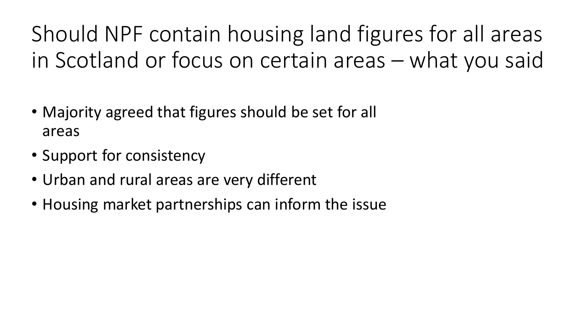Should NPF contain housing land figures for all areas in Scotland or focus on certain areas – what you said

- Majority agreed that figures should be set for all areas
- Support for consistency
- Urban and rural areas are very different
- Housing market partnerships can inform the issue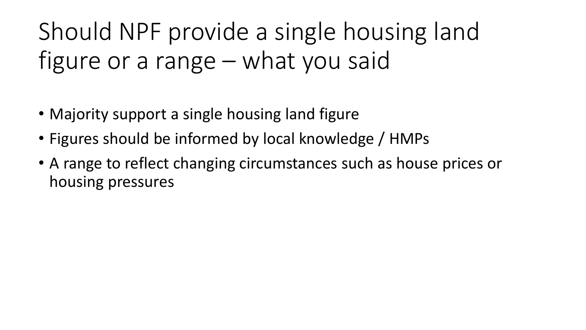# Should NPF provide a single housing land figure or a range – what you said

- Majority support a single housing land figure
- Figures should be informed by local knowledge / HMPs
- A range to reflect changing circumstances such as house prices or housing pressures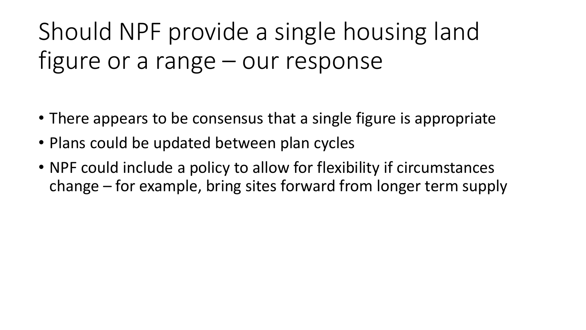# Should NPF provide a single housing land figure or a range – our response

- There appears to be consensus that a single figure is appropriate
- Plans could be updated between plan cycles
- NPF could include a policy to allow for flexibility if circumstances change – for example, bring sites forward from longer term supply